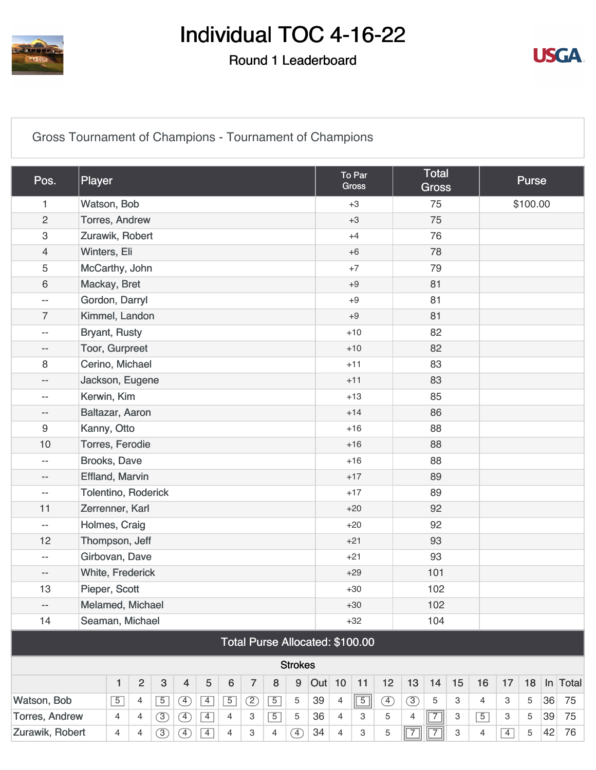

#### Round 1 Leaderboard



[Gross Tournament of Champions - Tournament of Champions](https://cdn2.golfgenius.com/v2tournaments/8372864604270772992?called_from=&round_index=1)

| Pos.                     | Player                                                                                                                  |                |   |                |               |                |             |   |             |                |    |                | To Par<br>Gross |             |                | <b>Total</b><br><b>Gross</b> |                           |                | <b>Purse</b> |          |    |            |  |  |
|--------------------------|-------------------------------------------------------------------------------------------------------------------------|----------------|---|----------------|---------------|----------------|-------------|---|-------------|----------------|----|----------------|-----------------|-------------|----------------|------------------------------|---------------------------|----------------|--------------|----------|----|------------|--|--|
| 1                        | Watson, Bob                                                                                                             |                |   |                |               |                |             |   |             |                |    |                | $+3$            |             |                | 75                           |                           |                |              | \$100.00 |    |            |  |  |
| $\overline{c}$           | Torres, Andrew                                                                                                          |                |   |                |               |                |             |   |             |                |    |                | $+3$            |             |                | 75                           |                           |                |              |          |    |            |  |  |
| 3                        | Zurawik, Robert                                                                                                         |                |   |                |               |                |             |   |             |                |    |                | $+4$            |             |                | 76                           |                           |                |              |          |    |            |  |  |
| $\overline{4}$           | Winters, Eli                                                                                                            |                |   |                |               |                |             |   |             |                |    | $+6$           |                 |             | 78             |                              |                           |                |              |          |    |            |  |  |
| 5                        | McCarthy, John                                                                                                          |                |   |                |               |                |             |   |             |                |    | $+7$           |                 |             |                |                              |                           |                |              |          |    |            |  |  |
| 6                        | Mackay, Bret                                                                                                            |                |   |                |               |                |             |   |             |                |    | $+9$           |                 | 81          |                |                              |                           |                |              |          |    |            |  |  |
| $-$                      | Gordon, Darryl                                                                                                          |                |   |                |               |                |             |   |             |                |    | $+9$           |                 | 81          |                |                              |                           |                |              |          |    |            |  |  |
| $\overline{7}$           | Kimmel, Landon                                                                                                          |                |   |                |               |                |             |   |             |                |    |                | $+9$            |             | 81             |                              |                           |                |              |          |    |            |  |  |
| $ -$                     | <b>Bryant, Rusty</b>                                                                                                    |                |   |                |               |                |             |   |             |                |    |                | $+10$           |             |                |                              |                           |                |              |          |    |            |  |  |
| --                       | Toor, Gurpreet                                                                                                          |                |   |                |               |                |             |   |             |                |    |                | $+10$           |             | 82             |                              |                           |                |              |          |    |            |  |  |
| 8                        | Cerino, Michael                                                                                                         |                |   |                |               |                |             |   |             |                |    |                | $+11$           |             |                | 83                           |                           |                |              |          |    |            |  |  |
| $\overline{\phantom{a}}$ | Jackson, Eugene                                                                                                         |                |   |                |               |                |             |   |             |                |    |                | $+11$           |             |                | 83                           |                           |                |              |          |    |            |  |  |
| $-$                      | Kerwin, Kim                                                                                                             |                |   |                |               |                |             |   |             |                |    |                | $+13$           |             |                | 85                           |                           |                |              |          |    |            |  |  |
| --                       | Baltazar, Aaron                                                                                                         |                |   |                |               |                |             |   |             |                |    |                | $+14$           |             |                | 86                           |                           |                |              |          |    |            |  |  |
| 9                        | Kanny, Otto                                                                                                             |                |   |                |               |                |             |   |             |                |    |                | $+16$           |             |                | 88                           |                           |                |              |          |    |            |  |  |
| 10                       | Torres, Ferodie                                                                                                         |                |   |                |               |                |             |   |             |                |    |                | $+16$           |             |                | 88                           |                           |                |              |          |    |            |  |  |
| $-$                      | Brooks, Dave                                                                                                            |                |   |                |               |                |             |   |             |                |    |                | $+16$           |             |                | 88                           |                           |                |              |          |    |            |  |  |
| --                       | <b>Effland, Marvin</b>                                                                                                  |                |   |                |               |                |             |   |             |                |    |                | $+17$           |             |                | 89                           |                           |                |              |          |    |            |  |  |
| $ -$                     | Tolentino, Roderick                                                                                                     |                |   |                |               |                |             |   |             |                |    |                | $+17$           |             |                | 89                           |                           |                |              |          |    |            |  |  |
| 11                       | Zerrenner, Karl                                                                                                         |                |   |                |               |                |             |   |             |                |    |                | $+20$           |             |                | 92                           |                           |                |              |          |    |            |  |  |
| $ \!-$                   | Holmes, Craig                                                                                                           |                |   |                |               |                |             |   |             |                |    |                | $+20$           |             |                | 92                           |                           |                |              |          |    |            |  |  |
| 12                       | Thompson, Jeff                                                                                                          |                |   |                |               |                |             |   |             |                |    |                | $+21$           |             |                | 93                           |                           |                |              |          |    |            |  |  |
| $-$                      | Girbovan, Dave                                                                                                          |                |   |                |               |                |             |   |             |                |    |                | $+21$           |             |                | 93                           |                           |                |              |          |    |            |  |  |
| $\overline{\phantom{a}}$ | White, Frederick                                                                                                        |                |   |                |               |                |             |   |             |                |    |                | $+29$           |             |                | 101                          |                           |                |              |          |    |            |  |  |
| 13                       | Pieper, Scott                                                                                                           |                |   |                |               |                |             |   |             |                |    |                | $+30$           |             |                | 102                          |                           |                |              |          |    |            |  |  |
| --                       | Melamed, Michael                                                                                                        |                |   |                |               |                |             |   |             |                |    |                | $+30$           |             |                | 102                          |                           |                |              |          |    |            |  |  |
| 14                       |                                                                                                                         |                |   |                |               |                |             |   |             |                |    |                |                 |             |                | 104                          |                           |                |              |          |    |            |  |  |
|                          | Seaman, Michael<br>$+32$<br>Total Purse Allocated: \$100.00                                                             |                |   |                |               |                |             |   |             |                |    |                |                 |             |                |                              |                           |                |              |          |    |            |  |  |
|                          |                                                                                                                         |                |   |                |               |                |             |   |             | <b>Strokes</b> |    |                |                 |             |                |                              |                           |                |              |          |    |            |  |  |
|                          | $\overline{2}$<br>$\boldsymbol{9}$<br>Out 10<br>$\mathbf{3}$<br>5<br>$\,6\,$<br>$\overline{7}$<br>8<br>1<br>4           |                |   |                |               |                |             |   |             |                |    |                | 11              | 12          | 13             | 14                           | 15                        | 16             | 17           | 18       |    | $In$ Total |  |  |
| Watson, Bob              |                                                                                                                         | $\overline{5}$ | 4 | $\overline{5}$ | $\circled{4}$ | $\overline{4}$ | $\boxed{5}$ | ② | $\boxed{5}$ | 5              | 39 | $\overline{4}$ | $\boxed{5}$     | ④           | $\circled{3}$  | 5                            | 3                         | 4              | 3            | 5        | 36 | 75         |  |  |
| <b>Torres, Andrew</b>    | $\circled{3}$<br>$\boxed{5}$<br>36<br>$\boxed{4}$<br>3<br>4<br>4<br>$\left( \overline{4}\right)$<br>$\overline{4}$<br>5 |                |   |                |               |                |             |   |             |                |    | $\overline{4}$ | 3               | $\mathbf 5$ | $\overline{4}$ | $\overline{7}$               | $\ensuremath{\mathsf{3}}$ | $\overline{5}$ | 3            | 5        | 39 | 75         |  |  |

[Zurawik, Robert](https://cdn2.golfgenius.com/tournaments2/nets/8407480794230047536?event_id=8372864604270772992) 4 4 3 4 3 4 4 3 4 4 3 5 7 7 3 4 4 5 4 5 4 7 7 3 4 4 5 4 7 6

 $(3) (4) 4$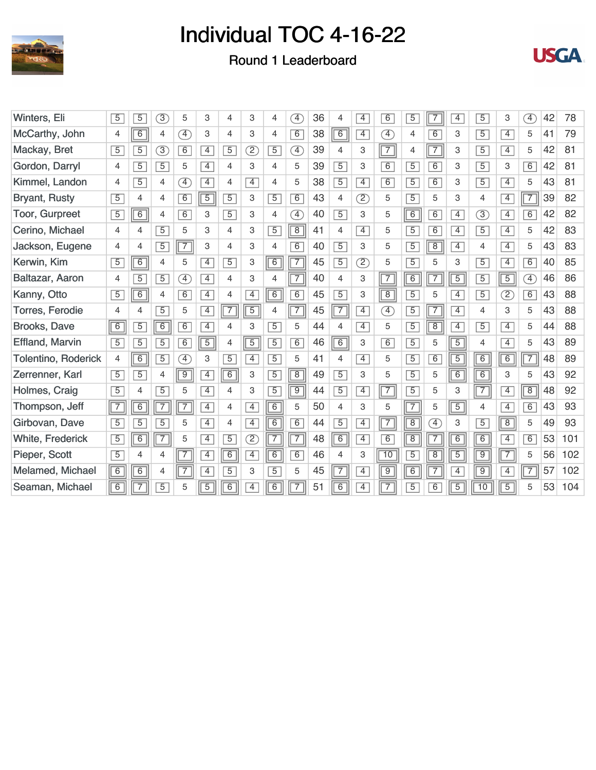





| Winters, Eli               | $\overline{5}$ | 5              | 3)             | 5                            | 3              | 4              | 3              | $\overline{4}$ | $\boxed{4}$    | 36 | 4              | $\overline{4}$           | 6               | $\overline{5}$ | 7              | $\overline{4}$ | 5              | 3                 | Ŧ,          | 42 | 78  |
|----------------------------|----------------|----------------|----------------|------------------------------|----------------|----------------|----------------|----------------|----------------|----|----------------|--------------------------|-----------------|----------------|----------------|----------------|----------------|-------------------|-------------|----|-----|
| McCarthy, John             | 4              | $\overline{6}$ | 4              | $\left( \overline{4}\right)$ | 3              | 4              | 3              | $\overline{4}$ | 6              | 38 | $\overline{6}$ | $\overline{4}$           | $\boxed{4}$     | $\overline{4}$ | $\overline{6}$ | 3              | $\overline{5}$ | $\overline{4}$    | 5           | 41 | 79  |
| Mackay, Bret               | $\overline{5}$ | $\overline{5}$ | 3)             | 6                            | $\overline{4}$ | $\overline{5}$ | $\circled{2}$  | $\overline{5}$ | F)             | 39 | $\overline{4}$ | 3                        | $\sqrt{7}$      | $\overline{4}$ | $\overline{7}$ | 3              | $\overline{5}$ | $\overline{4}$    | 5           | 42 | 81  |
| Gordon, Darryl             | 4              | $\overline{5}$ | $\overline{5}$ | 5                            | $\overline{4}$ | 4              | 3              | 4              | 5              | 39 | $\overline{5}$ | 3                        | $\overline{6}$  | $\overline{5}$ | $\overline{6}$ | 3              | $\overline{5}$ | 3                 | 6           | 42 | 81  |
| Kimmel, Landon             | 4              | $\overline{5}$ | $\overline{4}$ | $\left( \overline{4}\right)$ | $\overline{4}$ | 4              | $\overline{4}$ | $\overline{4}$ | 5              | 38 | $\overline{5}$ | $\overline{4}$           | $\overline{6}$  | $\overline{5}$ | 6              | 3              | $\overline{5}$ | $\overline{4}$    | 5           | 43 | 81  |
| <b>Bryant, Rusty</b>       | $\overline{5}$ | 4              | 4              | 6                            | $\sqrt{5}$     | $\overline{5}$ | 3              | $\overline{5}$ | 6              | 43 | $\overline{4}$ | $\overline{2}$           | 5               | $\overline{5}$ | 5              | 3              | $\overline{4}$ | $\overline{4}$    | $\boxed{7}$ | 39 | 82  |
| <b>Toor, Gurpreet</b>      | $\overline{5}$ | 6              | $\overline{4}$ | 6                            | 3              | $\overline{5}$ | 3              | $\overline{4}$ | A)             | 40 | $\overline{5}$ | 3                        | 5               | 6              | 6              | $\overline{4}$ | 3)             | $\overline{4}$    | 6           | 42 | 82  |
| Cerino, Michael            | $\overline{4}$ | 4              | $\overline{5}$ | 5                            | 3              | 4              | 3              | $\overline{5}$ | $\boxed{8}$    | 41 | $\overline{4}$ | $\overline{4}$           | 5               | $\overline{5}$ | 6              | $\overline{4}$ | $\overline{5}$ | $\overline{4}$    | 5           | 42 | 83  |
| Jackson, Eugene            | $\overline{4}$ | 4              | $\overline{5}$ | $\overline{7}$               | 3              | 4              | 3              | $\overline{4}$ | 6              | 40 | $\overline{5}$ | 3                        | 5               | $\overline{5}$ | $\overline{8}$ | $\overline{4}$ | $\overline{4}$ | $\overline{4}$    | 5           | 43 | 83  |
| Kerwin, Kim                | $\overline{5}$ | $\boxed{6}$    | $\overline{4}$ | 5                            | $\overline{4}$ | $\overline{5}$ | 3              | 6              | $\overline{7}$ | 45 | $\overline{5}$ | $\overline{\mathcal{D}}$ | 5               | $\overline{5}$ | 5              | 3              | $\overline{5}$ | $\overline{4}$    | 6           | 40 | 85  |
| Baltazar, Aaron            | 4              | $\overline{5}$ | $\overline{5}$ | Œ                            | $\overline{4}$ | 4              | 3              | $\overline{4}$ | $\overline{7}$ | 40 | $\overline{4}$ | 3                        | $\sqrt{7}$      | $\overline{6}$ | $\overline{7}$ | $\overline{5}$ | $\overline{5}$ | $\boxed{5}$       | A)          | 46 | 86  |
| Kanny, Otto                | $\overline{5}$ | 6              | 4              | $\overline{6}$               | $\overline{4}$ | 4              | $\overline{4}$ | 6              | $\overline{6}$ | 45 | $\overline{5}$ | 3                        | $\overline{8}$  | $\overline{5}$ | 5              | $\overline{4}$ | $\overline{5}$ | $\left( 2\right)$ | 6           | 43 | 88  |
| <b>Torres, Ferodie</b>     | 4              | 4              | $\overline{5}$ | 5                            | $\overline{4}$ | $\sqrt{7}$     | $\overline{5}$ | $\overline{4}$ | $\boxed{7}$    | 45 | $\overline{7}$ | $\overline{4}$           | $\boxed{4}$     | $\overline{5}$ | $\overline{7}$ | $\overline{4}$ | 4              | 3                 | 5           | 43 | 88  |
| <b>Brooks, Dave</b>        | $\overline{6}$ | $\overline{5}$ | 6              | 6                            | $\overline{4}$ | 4              | 3              | $\overline{5}$ | 5              | 44 | 4              | $\overline{4}$           | 5               | $\overline{5}$ | $\overline{8}$ | $\overline{4}$ | $\overline{5}$ | $\overline{4}$    | 5           | 44 | 88  |
| <b>Effland, Marvin</b>     | $\overline{5}$ | $\overline{5}$ | $\overline{5}$ | 6                            | $\boxed{5}$    | $\overline{4}$ | $\overline{5}$ | $\overline{5}$ | 6              | 46 | $\overline{6}$ | 3                        | $\overline{6}$  | $\overline{5}$ | 5              | $\overline{5}$ | $\overline{4}$ | $\overline{4}$    | 5           | 43 | 89  |
| <b>Tolentino, Roderick</b> | $\overline{4}$ | $\boxed{6}$    | $\overline{5}$ | $\left( \overline{4}\right)$ | 3              | $\overline{5}$ | $\overline{4}$ | $\overline{5}$ | 5              | 41 | 4              | $\overline{4}$           | 5               | $\overline{5}$ | 6              | $\overline{5}$ | 6              | $\boxed{6}$       | $\sqrt{7}$  | 48 | 89  |
| Zerrenner, Karl            | $\overline{5}$ | $\overline{5}$ | 4              | $\overline{9}$               | $\overline{4}$ | $\boxed{6}$    | 3              | $\overline{5}$ | $\overline{8}$ | 49 | $\overline{5}$ | 3                        | 5               | $\overline{5}$ | 5              | 6              | $\overline{6}$ | 3                 | 5           | 43 | 92  |
| Holmes, Craig              | $\overline{5}$ | $\overline{4}$ | $\overline{5}$ | 5                            | $\overline{4}$ | 4              | 3              | $\overline{5}$ | $\overline{9}$ | 44 | $\overline{5}$ | $\overline{4}$           | $\sqrt{7}$      | $\overline{5}$ | 5              | 3              | $\boxed{7}$    | $\overline{4}$    | $\boxed{8}$ | 48 | 92  |
| Thompson, Jeff             | $\sqrt{7}$     | $\overline{6}$ | $\overline{7}$ | $\overline{7}$               | $\overline{4}$ | 4              | $\overline{4}$ | 6              | 5              | 50 | 4              | 3                        | 5               | $\boxed{7}$    | 5              | $\overline{5}$ | 4              | $\overline{4}$    | 6           | 43 | 93  |
| Girbovan, Dave             | $\overline{5}$ | $\overline{5}$ | $\overline{5}$ | 5                            | $\overline{4}$ | 4              | $\overline{4}$ | 6              | 6              | 44 | $\overline{5}$ | $\overline{4}$           | $\boxed{7}$     | $\boxed{8}$    | Ð              | 3              | $\overline{5}$ | $\boxed{8}$       | 5           | 49 | 93  |
| White, Frederick           | $\overline{5}$ | $\overline{6}$ | $\overline{7}$ | 5                            | $\overline{4}$ | $\overline{5}$ | $\circled{2}$  | $\overline{7}$ | $\overline{7}$ | 48 | $\overline{6}$ | $\overline{4}$           | $\overline{6}$  | $\boxed{8}$    | $\overline{7}$ | $\overline{6}$ | $\overline{6}$ | $\overline{4}$    | 6           | 53 | 101 |
| Pieper, Scott              | $\overline{5}$ | $\overline{4}$ | 4              | $\overline{7}$               | $\overline{4}$ | 6              | $\overline{4}$ | $\overline{6}$ | 6              | 46 | $\overline{4}$ | 3                        | $\overline{10}$ | $\overline{5}$ | $\overline{8}$ | $\overline{5}$ | $\overline{9}$ | $\boxed{7}$       | 5           | 56 | 102 |
| Melamed, Michael           | $\overline{6}$ | $\overline{6}$ | 4              | $\overline{7}$               | $\overline{4}$ | $\overline{5}$ | 3              | $\overline{5}$ | 5              | 45 | $\overline{7}$ | $\overline{4}$           | $\overline{9}$  | $\overline{6}$ | $\overline{7}$ | $\overline{4}$ | $\overline{9}$ | $\overline{4}$    | $\boxed{7}$ | 57 | 102 |
| Seaman, Michael            | $\overline{6}$ | 7              | $\overline{5}$ | 5                            | $\overline{5}$ | $\overline{6}$ | $\overline{4}$ | $\overline{6}$ | $\overline{7}$ | 51 | $\overline{6}$ | $\overline{4}$           | $\overline{7}$  | $\overline{5}$ | 6              | $\overline{5}$ | 10             | $\overline{5}$    | 5           | 53 | 104 |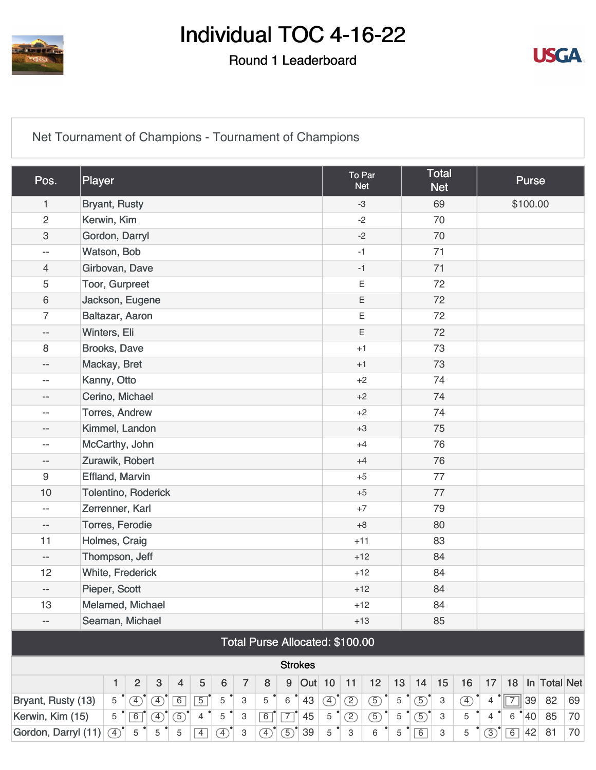

#### Round 1 Leaderboard



[Net Tournament of Champions - Tournament of Champions](https://cdn2.golfgenius.com/v2tournaments/8372864609438155521?called_from=&round_index=1)

| Pos.                                                                                                                                     | Player                                                                                                                    |            |               |   |   |                |             |   |                                 |                |    |               | To Par<br><b>Net</b> |               |    |               | <b>Total</b><br><b>Net</b> |               |                |             | <b>Purse</b>    |              |    |  |
|------------------------------------------------------------------------------------------------------------------------------------------|---------------------------------------------------------------------------------------------------------------------------|------------|---------------|---|---|----------------|-------------|---|---------------------------------|----------------|----|---------------|----------------------|---------------|----|---------------|----------------------------|---------------|----------------|-------------|-----------------|--------------|----|--|
| 1                                                                                                                                        | <b>Bryant, Rusty</b>                                                                                                      |            |               |   |   |                |             |   |                                 |                |    |               |                      | $-3$          |    |               | 69                         |               |                |             | \$100.00        |              |    |  |
| $\overline{2}$                                                                                                                           | Kerwin, Kim                                                                                                               |            |               |   |   |                |             |   |                                 |                |    |               |                      | $-2$          |    |               | 70                         |               |                |             |                 |              |    |  |
| 3                                                                                                                                        | Gordon, Darryl                                                                                                            |            |               |   |   |                |             |   |                                 |                |    |               |                      | $-2$          |    |               | 70                         |               |                |             |                 |              |    |  |
| $ -$                                                                                                                                     | Watson, Bob                                                                                                               |            |               |   |   |                |             |   |                                 |                |    |               |                      | $-1$          |    |               | 71                         |               |                |             |                 |              |    |  |
| 4                                                                                                                                        | Girbovan, Dave                                                                                                            |            |               |   |   |                |             |   |                                 |                |    |               |                      | $-1$          |    | 71            |                            |               |                |             |                 |              |    |  |
| 5                                                                                                                                        | Toor, Gurpreet                                                                                                            |            |               |   |   |                |             |   |                                 |                |    |               | Ε                    |               | 72 |               |                            |               |                |             |                 |              |    |  |
| 6                                                                                                                                        | Jackson, Eugene                                                                                                           |            |               |   |   |                |             |   |                                 |                |    |               | Ε                    |               | 72 |               |                            |               |                |             |                 |              |    |  |
| $\overline{7}$                                                                                                                           | Baltazar, Aaron                                                                                                           |            |               |   |   |                |             |   |                                 |                |    |               | $\mathsf E$          |               |    | 72            |                            |               |                |             |                 |              |    |  |
| $\overline{\phantom{a}}$                                                                                                                 | Winters, Eli                                                                                                              |            |               |   |   |                |             |   |                                 |                |    |               | $\mathsf E$          |               |    | 72            |                            |               |                |             |                 |              |    |  |
| 8                                                                                                                                        | Brooks, Dave                                                                                                              |            |               |   |   |                |             |   |                                 |                |    |               | $+1$                 |               |    |               | 73                         |               |                |             |                 |              |    |  |
| --                                                                                                                                       | Mackay, Bret                                                                                                              |            |               |   |   |                |             |   |                                 |                |    |               |                      | 73<br>$+1$    |    |               |                            |               |                |             |                 |              |    |  |
| $\qquad \qquad -$                                                                                                                        | Kanny, Otto                                                                                                               |            |               |   |   |                |             |   |                                 |                |    | $+2$<br>74    |                      |               |    |               |                            |               |                |             |                 |              |    |  |
| $-\,$ $-$                                                                                                                                | Cerino, Michael                                                                                                           |            |               |   |   |                |             |   |                                 |                |    |               |                      | $+2$          |    |               | 74                         |               |                |             |                 |              |    |  |
| $-\,-$                                                                                                                                   | <b>Torres, Andrew</b>                                                                                                     |            |               |   |   |                |             |   |                                 |                |    |               |                      | $+2$          |    |               | 74                         |               |                |             |                 |              |    |  |
| $-$                                                                                                                                      | Kimmel, Landon                                                                                                            |            |               |   |   |                |             |   |                                 |                |    |               |                      | $+3$          |    |               | 75                         |               |                |             |                 |              |    |  |
| $\qquad \qquad -$                                                                                                                        | McCarthy, John                                                                                                            |            |               |   |   |                |             |   |                                 |                |    |               |                      | $+4$          |    |               | 76                         |               |                |             |                 |              |    |  |
| $-\,-$                                                                                                                                   | Zurawik, Robert                                                                                                           |            |               |   |   |                |             |   |                                 |                |    |               |                      | $+4$          |    |               | 76                         |               |                |             |                 |              |    |  |
| 9                                                                                                                                        | <b>Effland, Marvin</b>                                                                                                    |            |               |   |   |                |             |   |                                 |                |    |               |                      | $+5$          |    |               | 77                         |               |                |             |                 |              |    |  |
| 10                                                                                                                                       | Tolentino, Roderick                                                                                                       |            |               |   |   |                |             |   |                                 |                |    |               | 77<br>$+5$           |               |    |               |                            |               |                |             |                 |              |    |  |
| $\qquad \qquad -$                                                                                                                        | Zerrenner, Karl                                                                                                           |            |               |   |   |                |             |   |                                 |                |    |               |                      | $+7$          |    |               | 79                         |               |                |             |                 |              |    |  |
| $-\, -$                                                                                                                                  | Torres, Ferodie                                                                                                           |            |               |   |   |                |             |   |                                 |                |    |               | $+8$                 |               |    |               |                            |               |                |             |                 |              |    |  |
| 11                                                                                                                                       | Holmes, Craig                                                                                                             |            |               |   |   |                |             |   |                                 |                |    |               | $+11$                |               |    |               | 83                         |               |                |             |                 |              |    |  |
| $-\, -$                                                                                                                                  | Thompson, Jeff                                                                                                            |            |               |   |   |                |             |   |                                 |                |    |               |                      | $+12$         |    |               | 84                         |               |                |             |                 |              |    |  |
| 12                                                                                                                                       | White, Frederick                                                                                                          |            |               |   |   |                |             |   |                                 |                |    |               |                      | $+12$         |    |               | 84                         |               |                |             |                 |              |    |  |
| --                                                                                                                                       | Pieper, Scott                                                                                                             |            |               |   |   |                |             |   |                                 |                |    |               |                      | $+12$         |    |               | 84                         |               |                |             |                 |              |    |  |
| 13                                                                                                                                       | Melamed, Michael                                                                                                          |            |               |   |   |                |             |   |                                 |                |    |               |                      | $+12$         |    |               | 84                         |               |                |             |                 |              |    |  |
| $\overline{\phantom{a}}$                                                                                                                 | Seaman, Michael                                                                                                           |            |               |   |   |                |             |   |                                 |                |    |               | $+13$                |               |    |               | 85                         |               |                |             |                 |              |    |  |
|                                                                                                                                          |                                                                                                                           |            |               |   |   |                |             |   | Total Purse Allocated: \$100.00 |                |    |               |                      |               |    |               |                            |               |                |             |                 |              |    |  |
|                                                                                                                                          |                                                                                                                           |            |               |   |   |                |             |   |                                 | <b>Strokes</b> |    |               |                      |               |    |               |                            |               |                |             |                 |              |    |  |
| $\sqrt{3}$<br>$\overline{2}$<br>5<br>$\overline{7}$<br>$\boldsymbol{9}$<br><b>Out</b> 10<br>$\overline{4}$<br>$\boldsymbol{6}$<br>8<br>1 |                                                                                                                           |            |               |   |   |                |             |   |                                 |                |    |               | 11                   | 12            | 13 | 14            | 15                         | 16            | 17             | 18          |                 | In Total Net |    |  |
| Bryant, Rusty (13)                                                                                                                       |                                                                                                                           | $\sqrt{5}$ | $\circled{4}$ | ⊕ | 6 | $\overline{5}$ | $\mathbf 5$ | 3 | 5                               | $6\,$          | 43 | $\circled{4}$ | $\circled{2}$        | $\circled{5}$ | 5  | $\circledS$   | $\ensuremath{\mathsf{3}}$  | $\circled{4}$ | $\overline{4}$ | $\boxed{7}$ | 39              | 82           | 69 |  |
| Kerwin, Kim (15)                                                                                                                         | $\boxed{7}$<br>$\boxed{6}$<br>$\circledS$<br>$\mathbf 5$<br>$\ensuremath{\mathsf{3}}$<br>$\boxed{6}$<br>45<br>5<br>④<br>4 |            |               |   |   |                |             |   |                                 |                |    |               | $\circled{2}$        | $\circled{5}$ | 5  | $\circled{5}$ | $\ensuremath{\mathsf{3}}$  | 5             | $\overline{4}$ | $\,6\,$     | $^{\bullet}$ 40 | 85           | 70 |  |
| Gordon, Darryl (11)                                                                                                                      | $\circled{5}$<br>5<br>$\circled{4}$<br>$\left(\overline{4}\right)$<br>5<br>5<br>$\overline{4}$<br>$\circled{4}$<br>3      |            |               |   |   |                |             |   |                                 | 39             | 5  | 3             | 6                    | 5             | 6  | 3             | 5                          | (3)           | $\boxed{6}$    | 42          | 81              | 70           |    |  |